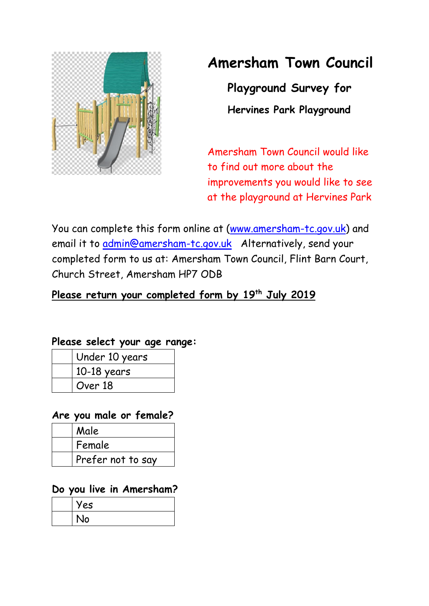

# **Amersham Town Council**

**Playground Survey for Hervines Park Playground**

Amersham Town Council would like to find out more about the improvements you would like to see at the playground at Hervines Park

You can complete this form online at [\(www.amersham-tc.gov.uk\)](http://www.amersham-tc.gov.uk/) and email it to *admin@amersham-tc.gov.uk* Alternatively, send your completed form to us at: Amersham Town Council, Flint Barn Court, Church Street, Amersham HP7 ODB

## **Please return your completed form by 19 th July 2019**

#### **Please select your age range:**

| Under 10 years |
|----------------|
| $10-18$ years  |
| Over 18        |

#### **Are you male or female?**

| Male              |
|-------------------|
| Female            |
| Prefer not to say |

#### **Do you live in Amersham?**

| Yes |
|-----|
| No  |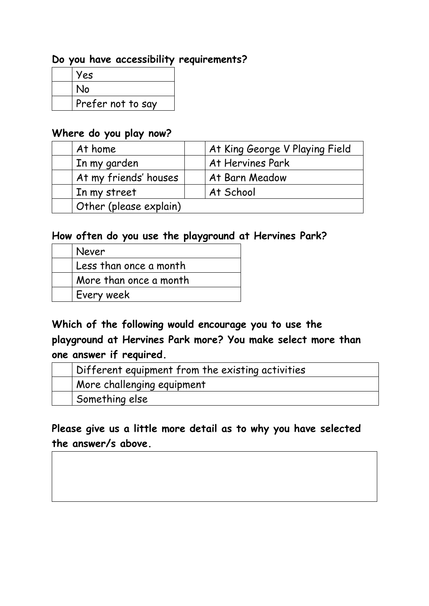#### **Do you have accessibility requirements?**

| Yes               |
|-------------------|
| No                |
| Prefer not to say |

#### **Where do you play now?**

| At home                | At King George V Playing Field |
|------------------------|--------------------------------|
| In my garden           | At Hervines Park               |
| At my friends' houses  | At Barn Meadow                 |
| In my street           | At School                      |
| Other (please explain) |                                |

#### **How often do you use the playground at Hervines Park?**

| Never                  |
|------------------------|
| Less than once a month |
| More than once a month |
| Every week             |

# **Which of the following would encourage you to use the playground at Hervines Park more? You make select more than one answer if required.**

| $\overline{a}$ Different equipment from the existing activities |
|-----------------------------------------------------------------|
| More challenging equipment                                      |
| 'Something else                                                 |

## **Please give us a little more detail as to why you have selected the answer/s above.**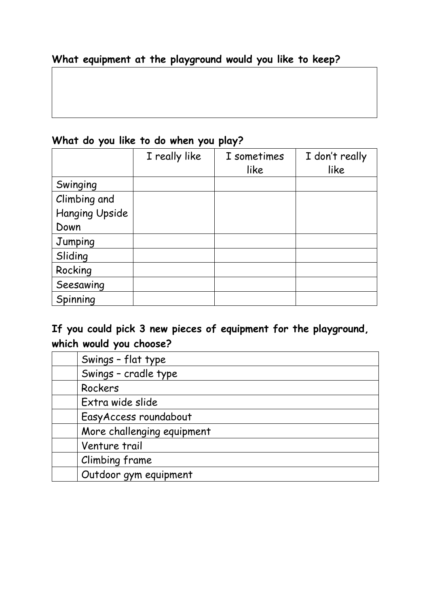## **What equipment at the playground would you like to keep?**

## **What do you like to do when you play?**

|                       | I really like | I sometimes | I don't really |
|-----------------------|---------------|-------------|----------------|
|                       |               | like        | like           |
| Swinging              |               |             |                |
| Climbing and          |               |             |                |
| <b>Hanging Upside</b> |               |             |                |
| Down                  |               |             |                |
| Jumping               |               |             |                |
| Sliding               |               |             |                |
| Rocking               |               |             |                |
| Seesawing             |               |             |                |
| Spinning              |               |             |                |

# **If you could pick 3 new pieces of equipment for the playground, which would you choose?**